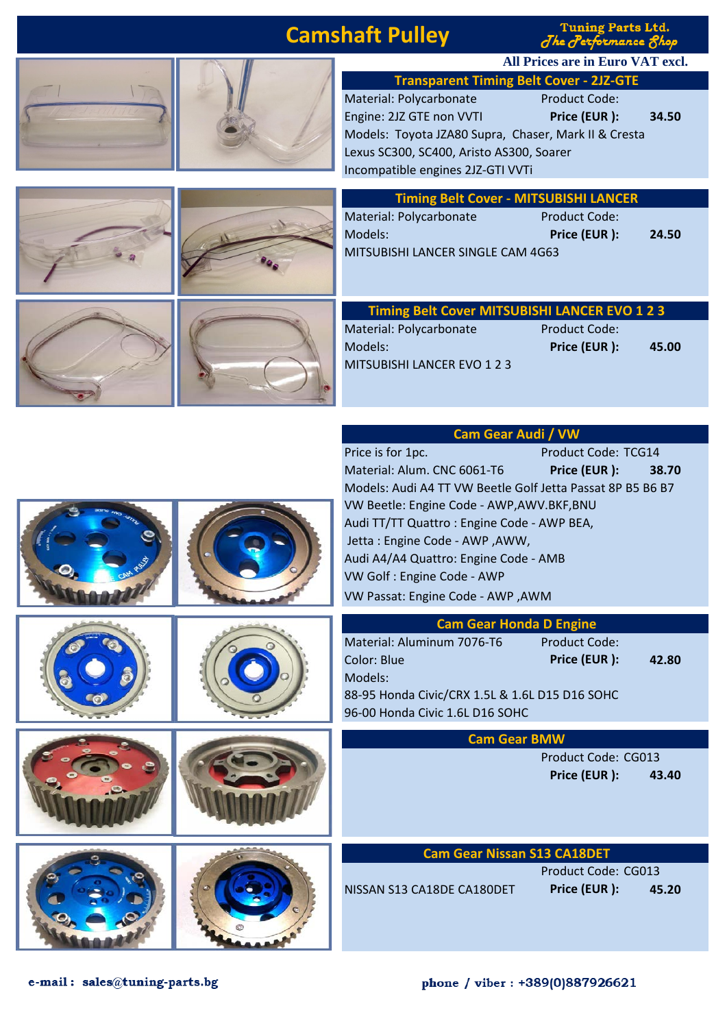## **Camshaft Pulley**

**Tuning Parts Ltd.** The Performance 8hop

**All Prices are in Euro VAT excl.**





| <b>Transparent Timing Belt Cover - 2JZ-GTE</b>       |                      |       |  |
|------------------------------------------------------|----------------------|-------|--|
| Material: Polycarbonate                              | <b>Product Code:</b> |       |  |
| Engine: 2JZ GTE non VVTI                             | Price (EUR):         | 34.50 |  |
| Models: Toyota JZA80 Supra, Chaser, Mark II & Cresta |                      |       |  |
| Lexus SC300, SC400, Aristo AS300, Soarer             |                      |       |  |
| Incompatible engines 2JZ-GTI VVTi                    |                      |       |  |

|  | <b>Timing Belt Cover - MITSUBISHI LANCER</b>                                                                     |                                      |       |
|--|------------------------------------------------------------------------------------------------------------------|--------------------------------------|-------|
|  | Material: Polycarbonate<br>Models:<br>MITSUBISHI LANCER SINGLE CAM 4G63                                          | <b>Product Code:</b><br>Price (EUR): | 24.50 |
|  | Timing Belt Cover MITSUBISHI LANCER EVO 1 2 3<br>Material: Polycarbonate<br>Models:<br>MITSUBISHI LANCER EVO 123 | <b>Product Code:</b><br>Price (EUR): | 45.00 |
|  | <b>Cam Gear Audi / VW</b>                                                                                        |                                      |       |
|  | Price is for 1pc.                                                                                                | Product Code: TCG14                  |       |
|  | Material: Alum. CNC 6061-T6                                                                                      | Price (EUR):                         | 38.70 |
|  | Models: Audi A4 TT VW Beetle Golf Jetta Passat 8P B5 B6 B7                                                       |                                      |       |
|  | VW Beetle: Engine Code - AWP, AWV. BKF, BNU                                                                      |                                      |       |
|  | Audi TT/TT Quattro: Engine Code - AWP BEA,                                                                       |                                      |       |
|  | Jetta: Engine Code - AWP, AWW,                                                                                   |                                      |       |
|  | Audi A4/A4 Quattro: Engine Code - AMB                                                                            |                                      |       |
|  | VW Golf : Engine Code - AWP                                                                                      |                                      |       |
|  |                                                                                                                  |                                      |       |

|  | VW Passat: Engine Code - AWP, AWM                                                                                                                                                                                            |
|--|------------------------------------------------------------------------------------------------------------------------------------------------------------------------------------------------------------------------------|
|  | <b>Cam Gear Honda D Engine</b><br>Material: Aluminum 7076-T6<br><b>Product Code:</b><br>Price (EUR):<br>Color: Blue<br>42.80<br>Models:<br>88-95 Honda Civic/CRX 1.5L & 1.6L D15 D16 SOHC<br>96-00 Honda Civic 1.6L D16 SOHC |
|  | <b>Cam Gear BMW</b><br>Product Code: CG013<br>Price (EUR):<br>43.40                                                                                                                                                          |
|  | <b>Cam Gear Nissan S13 CA18DET</b><br>Product Code: CG013<br>Price (EUR):<br>NISSAN S13 CA18DE CA180DET<br>45.20                                                                                                             |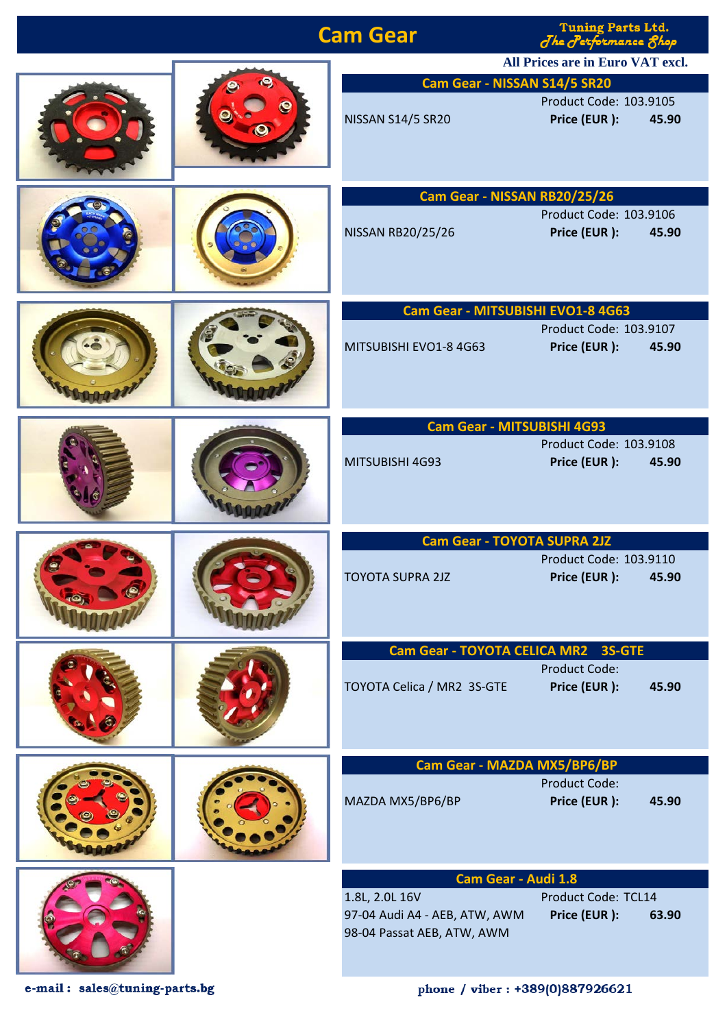| <b>Tuning Parts Ltd.</b><br><b>Cam Gear</b><br>The Performance 8hop                                                           |
|-------------------------------------------------------------------------------------------------------------------------------|
| All Prices are in Euro VAT excl.                                                                                              |
| Cam Gear - NISSAN S14/5 SR20                                                                                                  |
| Product Code: 103.9105<br><b>NISSAN S14/5 SR20</b><br>Price (EUR):<br>45.90                                                   |
| Cam Gear - NISSAN RB20/25/26                                                                                                  |
| Product Code: 103.9106<br>Price (EUR):<br>NISSAN RB20/25/26<br>45.90                                                          |
| Cam Gear - MITSUBISHI EVO1-8 4G63                                                                                             |
| Product Code: 103.9107<br>Price (EUR):<br>MITSUBISHI EVO1-8 4G63<br>45.90                                                     |
| <b>Cam Gear - MITSUBISHI 4G93</b>                                                                                             |
| Product Code: 103.9108<br>Price (EUR):<br>45.90<br>MITSUBISHI 4G93                                                            |
| <b>Cam Gear - TOYOTA SUPRA 2JZ</b>                                                                                            |
| Product Code: 103.9110<br>Price (EUR):<br><b>TOYOTA SUPRA 2JZ</b><br>45.90                                                    |
| Cam Gear - TOYOTA CELICA MR2 3S-GTE                                                                                           |
| <b>Product Code:</b><br>TOYOTA Celica / MR2 3S-GTE<br>Price (EUR):<br>45.90                                                   |
| Cam Gear - MAZDA MX5/BP6/BP                                                                                                   |
| <b>Product Code:</b><br>MAZDA MX5/BP6/BP<br>Price (EUR):<br>45.90                                                             |
| Cam Gear - Audi 1.8                                                                                                           |
| Product Code: TCL14<br>1.8L, 2.0L 16V<br>Price (EUR):<br>97-04 Audi A4 - AEB, ATW, AWM<br>63.90<br>98-04 Passat AEB, ATW, AWM |

 $\mathtt{e}\text{-}\mathtt{mail}: \ \mathtt{sales@tuning\text{-}parts.bg}$ 

phone / viber: +389(0)887926621